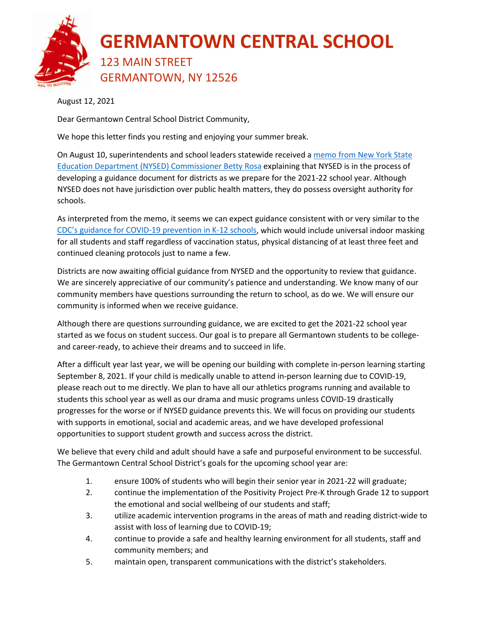

August 12, 2021

Dear Germantown Central School District Community,

We hope this letter finds you resting and enjoying your summer break.

On August 10, superintendents and school leaders statewide received a memo from New York State [Education Department \(NYSED\) Commissioner Betty Rosa](https://www.germantowncsd.org/cms/lib/NY01913667/Centricity/ModuleInstance/14/Forthcoming%20Back%20to%20School%20Health%20and%20Safety%20Guidance.pdf) explaining that NYSED is in the process of developing a guidance document for districts as we prepare for the 2021-22 school year. Although NYSED does not have jurisdiction over public health matters, they do possess oversight authority for schools.

As interpreted from the memo, it seems we can expect guidance consistent with or very similar to the [CDC's guidance for COVID-19 prevention in K-12 schools,](https://www.cdc.gov/coronavirus/2019-ncov/community/schools-childcare/k-12-guidance.html) which would include universal indoor masking for all students and staff regardless of vaccination status, physical distancing of at least three feet and continued cleaning protocols just to name a few.

Districts are now awaiting official guidance from NYSED and the opportunity to review that guidance. We are sincerely appreciative of our community's patience and understanding. We know many of our community members have questions surrounding the return to school, as do we. We will ensure our community is informed when we receive guidance.

Although there are questions surrounding guidance, we are excited to get the 2021-22 school year started as we focus on student success. Our goal is to prepare all Germantown students to be collegeand career-ready, to achieve their dreams and to succeed in life.

After a difficult year last year, we will be opening our building with complete in-person learning starting September 8, 2021. If your child is medically unable to attend in-person learning due to COVID-19, please reach out to me directly. We plan to have all our athletics programs running and available to students this school year as well as our drama and music programs unless COVID-19 drastically progresses for the worse or if NYSED guidance prevents this. We will focus on providing our students with supports in emotional, social and academic areas, and we have developed professional opportunities to support student growth and success across the district.

We believe that every child and adult should have a safe and purposeful environment to be successful. The Germantown Central School District's goals for the upcoming school year are:

- 1. ensure 100% of students who will begin their senior year in 2021-22 will graduate;
- 2. continue the implementation of the Positivity Project Pre-K through Grade 12 to support the emotional and social wellbeing of our students and staff;
- 3. utilize academic intervention programs in the areas of math and reading district-wide to assist with loss of learning due to COVID-19;
- 4. continue to provide a safe and healthy learning environment for all students, staff and community members; and
- 5. maintain open, transparent communications with the district's stakeholders.